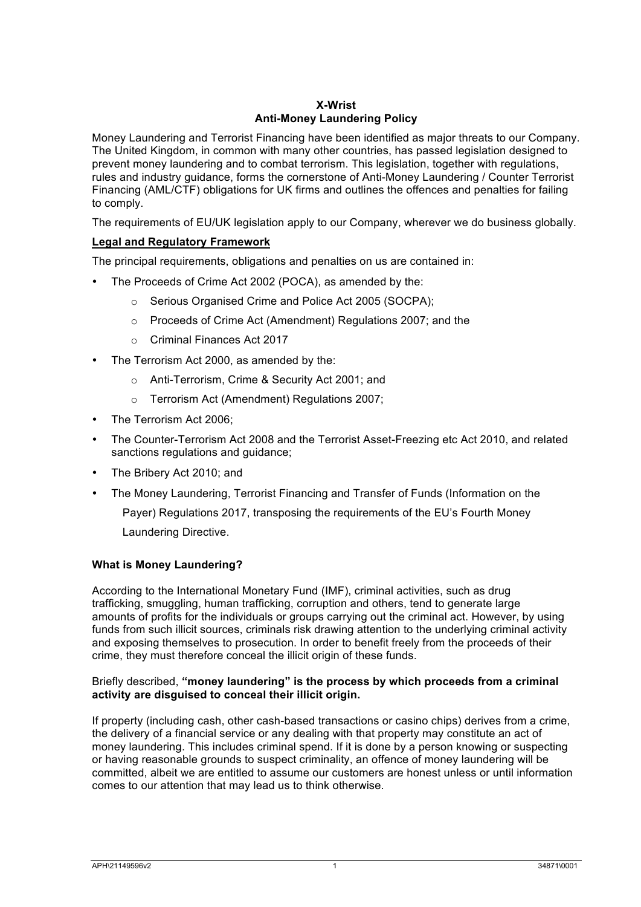# **X-Wrist Anti-Money Laundering Policy**

Money Laundering and Terrorist Financing have been identified as major threats to our Company. The United Kingdom, in common with many other countries, has passed legislation designed to prevent money laundering and to combat terrorism. This legislation, together with regulations, rules and industry guidance, forms the cornerstone of Anti-Money Laundering / Counter Terrorist Financing (AML/CTF) obligations for UK firms and outlines the offences and penalties for failing to comply.

The requirements of EU/UK legislation apply to our Company, wherever we do business globally.

# **Legal and Regulatory Framework**

The principal requirements, obligations and penalties on us are contained in:

- The Proceeds of Crime Act 2002 (POCA), as amended by the:
	- o Serious Organised Crime and Police Act 2005 (SOCPA);
	- o Proceeds of Crime Act (Amendment) Regulations 2007; and the
	- o Criminal Finances Act 2017
- The Terrorism Act 2000, as amended by the:
	- o Anti-Terrorism, Crime & Security Act 2001; and
	- o Terrorism Act (Amendment) Regulations 2007;
- The Terrorism Act 2006;
- The Counter-Terrorism Act 2008 and the Terrorist Asset-Freezing etc Act 2010, and related sanctions regulations and guidance;
- The Bribery Act 2010; and
- The Money Laundering, Terrorist Financing and Transfer of Funds (Information on the

Payer) Regulations 2017, transposing the requirements of the EU's Fourth Money Laundering Directive.

### **What is Money Laundering?**

According to the International Monetary Fund (IMF), criminal activities, such as drug trafficking, smuggling, human trafficking, corruption and others, tend to generate large amounts of profits for the individuals or groups carrying out the criminal act. However, by using funds from such illicit sources, criminals risk drawing attention to the underlying criminal activity and exposing themselves to prosecution. In order to benefit freely from the proceeds of their crime, they must therefore conceal the illicit origin of these funds.

### Briefly described, **"money laundering" is the process by which proceeds from a criminal activity are disguised to conceal their illicit origin.**

If property (including cash, other cash-based transactions or casino chips) derives from a crime, the delivery of a financial service or any dealing with that property may constitute an act of money laundering. This includes criminal spend. If it is done by a person knowing or suspecting or having reasonable grounds to suspect criminality, an offence of money laundering will be committed, albeit we are entitled to assume our customers are honest unless or until information comes to our attention that may lead us to think otherwise.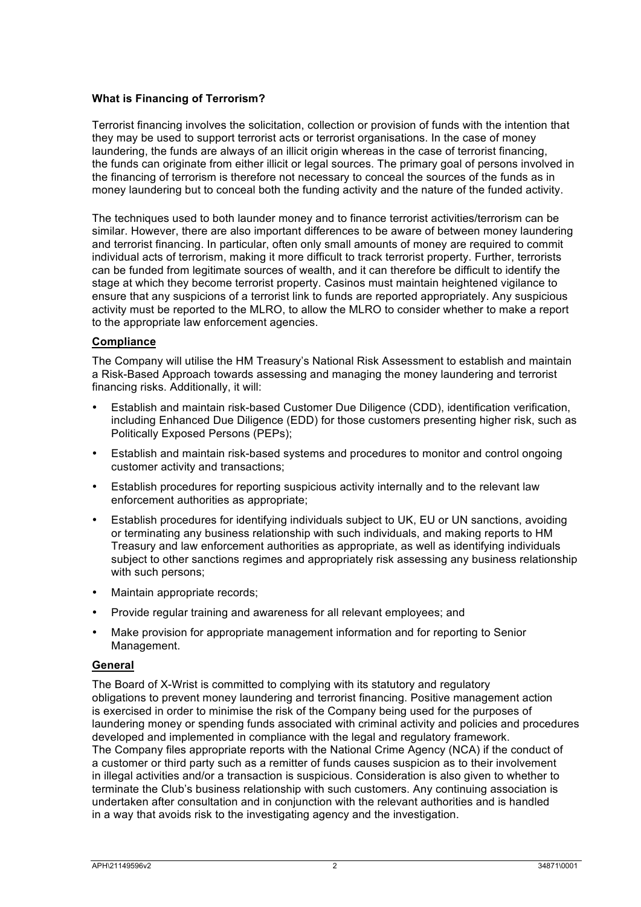### **What is Financing of Terrorism?**

Terrorist financing involves the solicitation, collection or provision of funds with the intention that they may be used to support terrorist acts or terrorist organisations. In the case of money laundering, the funds are always of an illicit origin whereas in the case of terrorist financing, the funds can originate from either illicit or legal sources. The primary goal of persons involved in the financing of terrorism is therefore not necessary to conceal the sources of the funds as in money laundering but to conceal both the funding activity and the nature of the funded activity.

The techniques used to both launder money and to finance terrorist activities/terrorism can be similar. However, there are also important differences to be aware of between money laundering and terrorist financing. In particular, often only small amounts of money are required to commit individual acts of terrorism, making it more difficult to track terrorist property. Further, terrorists can be funded from legitimate sources of wealth, and it can therefore be difficult to identify the stage at which they become terrorist property. Casinos must maintain heightened vigilance to ensure that any suspicions of a terrorist link to funds are reported appropriately. Any suspicious activity must be reported to the MLRO, to allow the MLRO to consider whether to make a report to the appropriate law enforcement agencies.

### **Compliance**

The Company will utilise the HM Treasury's National Risk Assessment to establish and maintain a Risk-Based Approach towards assessing and managing the money laundering and terrorist financing risks. Additionally, it will:

- Establish and maintain risk-based Customer Due Diligence (CDD), identification verification, including Enhanced Due Diligence (EDD) for those customers presenting higher risk, such as Politically Exposed Persons (PEPs);
- Establish and maintain risk-based systems and procedures to monitor and control ongoing customer activity and transactions;
- Establish procedures for reporting suspicious activity internally and to the relevant law enforcement authorities as appropriate;
- Establish procedures for identifying individuals subject to UK, EU or UN sanctions, avoiding or terminating any business relationship with such individuals, and making reports to HM Treasury and law enforcement authorities as appropriate, as well as identifying individuals subject to other sanctions regimes and appropriately risk assessing any business relationship with such persons:
- Maintain appropriate records:
- Provide regular training and awareness for all relevant employees; and
- Make provision for appropriate management information and for reporting to Senior Management.

# **General**

The Board of X-Wrist is committed to complying with its statutory and regulatory obligations to prevent money laundering and terrorist financing. Positive management action is exercised in order to minimise the risk of the Company being used for the purposes of laundering money or spending funds associated with criminal activity and policies and procedures developed and implemented in compliance with the legal and regulatory framework. The Company files appropriate reports with the National Crime Agency (NCA) if the conduct of a customer or third party such as a remitter of funds causes suspicion as to their involvement in illegal activities and/or a transaction is suspicious. Consideration is also given to whether to terminate the Club's business relationship with such customers. Any continuing association is undertaken after consultation and in conjunction with the relevant authorities and is handled in a way that avoids risk to the investigating agency and the investigation.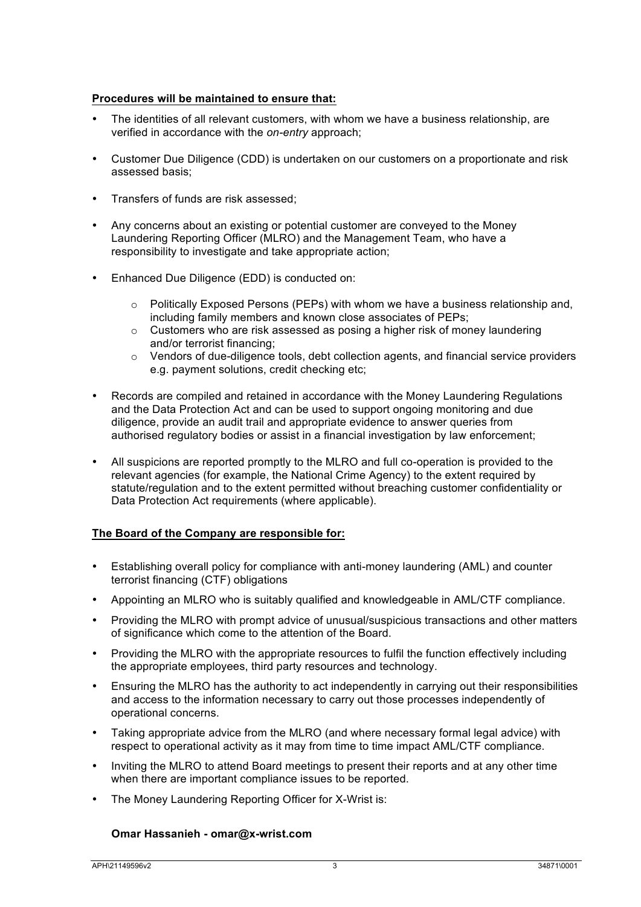# **Procedures will be maintained to ensure that:**

- The identities of all relevant customers, with whom we have a business relationship, are verified in accordance with the *on-entry* approach;
- Customer Due Diligence (CDD) is undertaken on our customers on a proportionate and risk assessed basis;
- Transfers of funds are risk assessed;
- Any concerns about an existing or potential customer are conveyed to the Money Laundering Reporting Officer (MLRO) and the Management Team, who have a responsibility to investigate and take appropriate action;
- Enhanced Due Diligence (EDD) is conducted on:
	- $\circ$  Politically Exposed Persons (PEPs) with whom we have a business relationship and, including family members and known close associates of PEPs;
	- o Customers who are risk assessed as posing a higher risk of money laundering and/or terrorist financing;
	- $\circ$  Vendors of due-diligence tools, debt collection agents, and financial service providers e.g. payment solutions, credit checking etc;
- Records are compiled and retained in accordance with the Money Laundering Regulations and the Data Protection Act and can be used to support ongoing monitoring and due diligence, provide an audit trail and appropriate evidence to answer queries from authorised regulatory bodies or assist in a financial investigation by law enforcement;
- All suspicions are reported promptly to the MLRO and full co-operation is provided to the relevant agencies (for example, the National Crime Agency) to the extent required by statute/regulation and to the extent permitted without breaching customer confidentiality or Data Protection Act requirements (where applicable).

# **The Board of the Company are responsible for:**

- Establishing overall policy for compliance with anti-money laundering (AML) and counter terrorist financing (CTF) obligations
- Appointing an MLRO who is suitably qualified and knowledgeable in AML/CTF compliance.
- Providing the MLRO with prompt advice of unusual/suspicious transactions and other matters of significance which come to the attention of the Board.
- Providing the MLRO with the appropriate resources to fulfil the function effectively including the appropriate employees, third party resources and technology.
- Ensuring the MLRO has the authority to act independently in carrying out their responsibilities and access to the information necessary to carry out those processes independently of operational concerns.
- Taking appropriate advice from the MLRO (and where necessary formal legal advice) with respect to operational activity as it may from time to time impact AML/CTF compliance.
- Inviting the MLRO to attend Board meetings to present their reports and at any other time when there are important compliance issues to be reported.
- The Money Laundering Reporting Officer for X-Wrist is:

### **Omar Hassanieh - omar@x-wrist.com**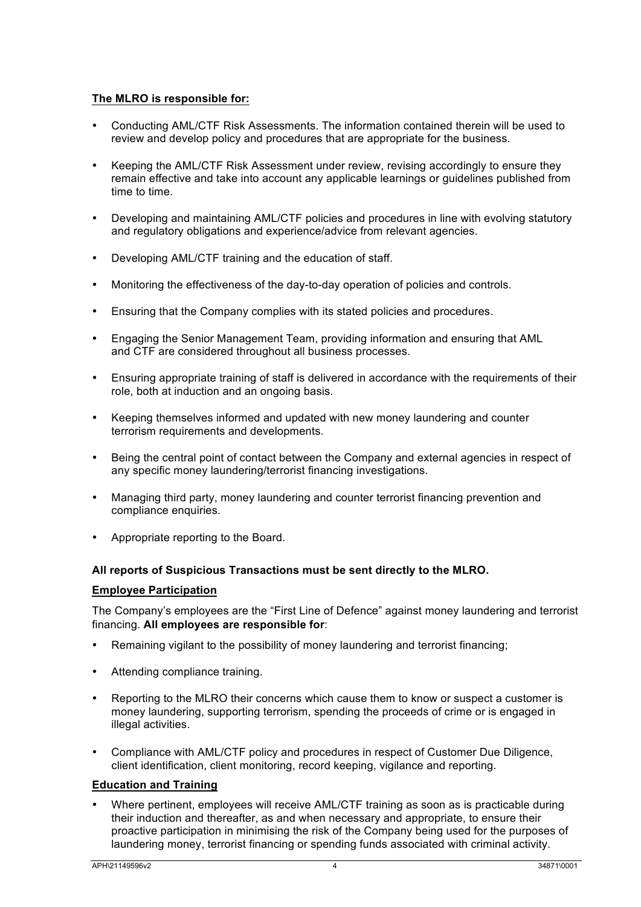# **The MLRO is responsible for:**

- Conducting AML/CTF Risk Assessments. The information contained therein will be used to review and develop policy and procedures that are appropriate for the business.
- Keeping the AML/CTF Risk Assessment under review, revising accordingly to ensure they remain effective and take into account any applicable learnings or guidelines published from time to time.
- Developing and maintaining AML/CTF policies and procedures in line with evolving statutory and regulatory obligations and experience/advice from relevant agencies.
- Developing AML/CTF training and the education of staff.
- Monitoring the effectiveness of the day-to-day operation of policies and controls.
- Ensuring that the Company complies with its stated policies and procedures.
- Engaging the Senior Management Team, providing information and ensuring that AML and CTF are considered throughout all business processes.
- Ensuring appropriate training of staff is delivered in accordance with the requirements of their role, both at induction and an ongoing basis.
- Keeping themselves informed and updated with new money laundering and counter terrorism requirements and developments.
- Being the central point of contact between the Company and external agencies in respect of any specific money laundering/terrorist financing investigations.
- Managing third party, money laundering and counter terrorist financing prevention and compliance enquiries.
- Appropriate reporting to the Board.

### **All reports of Suspicious Transactions must be sent directly to the MLRO.**

### **Employee Participation**

The Company's employees are the "First Line of Defence" against money laundering and terrorist financing. **All employees are responsible for**:

- Remaining vigilant to the possibility of money laundering and terrorist financing;
- Attending compliance training.
- Reporting to the MLRO their concerns which cause them to know or suspect a customer is money laundering, supporting terrorism, spending the proceeds of crime or is engaged in illegal activities.
- Compliance with AML/CTF policy and procedures in respect of Customer Due Diligence, client identification, client monitoring, record keeping, vigilance and reporting.

### **Education and Training**

• Where pertinent, employees will receive AML/CTF training as soon as is practicable during their induction and thereafter, as and when necessary and appropriate, to ensure their proactive participation in minimising the risk of the Company being used for the purposes of laundering money, terrorist financing or spending funds associated with criminal activity.